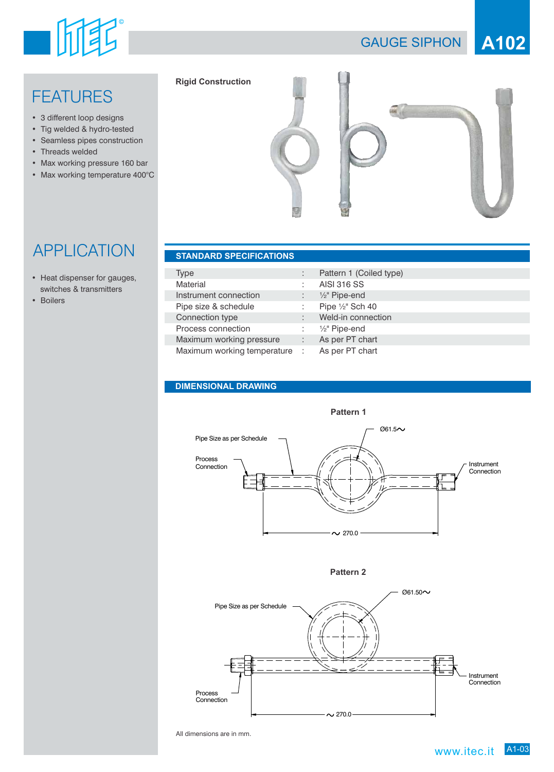# 一面重

## GAUGE SIPHON **A102**

## **FEATURES**

- 3 different loop designs
- Tig welded & hydro-tested
- Seamless pipes construction
- Threads welded
- Max working pressure 160 bar
- Max working temperature 400°C



## **APPLICATION**

- Heat dispenser for gauges, switches & transmitters
- Boilers

| Type                          |   | Pattern 1 (Coiled type)  |
|-------------------------------|---|--------------------------|
| Material                      | ÷ | <b>AISI 316 SS</b>       |
| Instrument connection         |   | $\frac{1}{2}$ " Pipe-end |
| Pipe size & schedule          |   | Pipe 1/2" Sch 40         |
| Connection type               | ÷ | Weld-in connection       |
| Process connection            | ÷ | $\frac{1}{2}$ " Pipe-end |
| Maximum working pressure      | ÷ | As per PT chart          |
| Maximum working temperature : |   | As per PT chart          |

#### **DIMENSIONAL DRAWING**



**Pattern 2**



All dimensions are in mm.